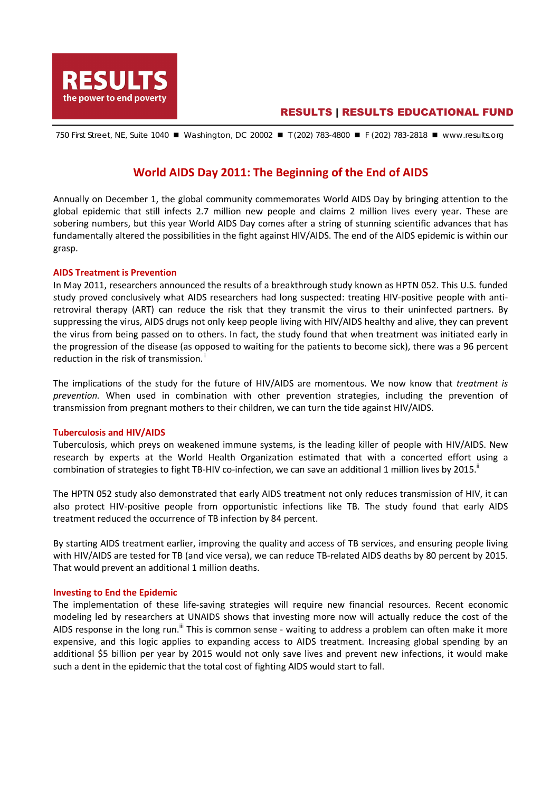

## RESULTS | RESULTS EDUCATIONAL FUND

750 First Street, NE, Suite 1040 ■ Washington, DC 20002 ■ T (202) 783-4800 ■ F (202) 783-2818 ■ www.results.org

# **World AIDS Day 2011: The Beginning of the End of AIDS**

Annually on December 1, the global community commemorates World AIDS Day by bringing attention to the global epidemic that still infects 2.7 million new people and claims 2 million lives every year. These are sobering numbers, but this year World AIDS Day comes after a string of stunning scientific advances that has fundamentally altered the possibilities in the fight against HIV/AIDS. The end of the AIDS epidemic is within our grasp.

### **AIDS Treatment is Prevention**

In May 2011, researchers announced the results of a breakthrough study known as HPTN 052. This U.S. funded study proved conclusively what AIDS researchers had long suspected: treating HIV-positive people with antiretroviral therapy (ART) can reduce the risk that they transmit the virus to their uninfected partners. By suppressing the virus, AIDS drugs not only keep people living with HIV/AIDS healthy and alive, they can prevent the virus from being passed on to others. In fact, the study found that when treatment was initiated early in the progression of the disease (as opposed to waiting for the patients to become sick), there was a 96 percent reduction in the risk of transmission.<sup> $\dagger$ </sup>

The implications of the study for the future of HIV/AIDS are momentous. We now know that *treatment is prevention.* When used in combination with other prevention strategies, including the prevention of transmission from pregnant mothers to their children, we can turn the tide against HIV/AIDS.

#### **Tuberculosis and HIV/AIDS**

Tuberculosis, which preys on weakened immune systems, is the leading killer of people with HIV/AIDS. New research by experts at the World Health Organization estimated that with a concerted effort using a combination of strategies to fight TB-HIV co-infection, we can save an additional 1 million lives by 2015.

The HPTN 052 study also demonstrated that early AIDS treatment not only reduces transmission of HIV, it can also protect HIV-positive people from opportunistic infections like TB. The study found that early AIDS treatment reduced the occurrence of TB infection by 84 percent.

By starting AIDS treatment earlier, improving the quality and access of TB services, and ensuring people living with HIV/AIDS are tested for TB (and vice versa), we can reduce TB-related AIDS deaths by 80 percent by 2015. That would prevent an additional 1 million deaths.

#### **Investing to End the Epidemic**

The implementation of these life-saving strategies will require new financial resources. Recent economic modeling led by researchers at UNAIDS shows that investing more now will actually reduce the cost of the AIDS response in the long run.<sup>iii</sup> This is common sense - waiting to address a problem can often make it more expensive, and this logic applies to expanding access to AIDS treatment. Increasing global spending by an additional \$5 billion per year by 2015 would not only save lives and prevent new infections, it would make such a dent in the epidemic that the total cost of fighting AIDS would start to fall.